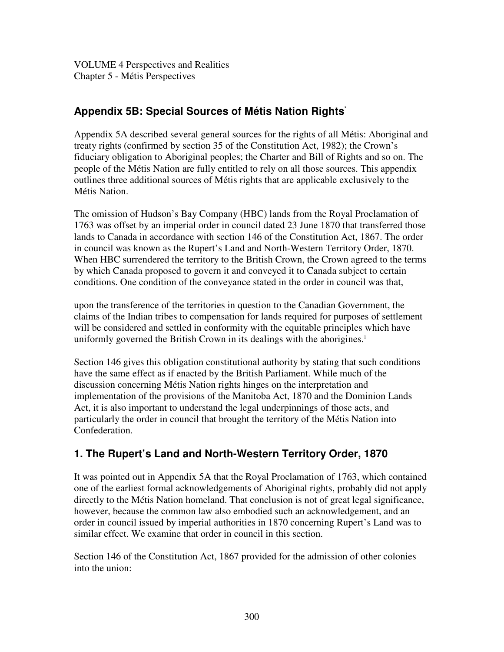VOLUME 4 Perspectives and Realities Chapter 5 - Métis Perspectives

## **Appendix 5B: Special Sources of Métis Nation Rights** \*

Appendix 5A described several general sources for the rights of all Métis: Aboriginal and treaty rights (confirmed by section 35 of the Constitution Act, 1982); the Crown's fiduciary obligation to Aboriginal peoples; the Charter and Bill of Rights and so on. The people of the Métis Nation are fully entitled to rely on all those sources. This appendix outlines three additional sources of Métis rights that are applicable exclusively to the Métis Nation.

The omission of Hudson's Bay Company (HBC) lands from the Royal Proclamation of 1763 was offset by an imperial order in council dated 23 June 1870 that transferred those lands to Canada in accordance with section 146 of the Constitution Act, 1867. The order in council was known as the Rupert's Land and North-Western Territory Order, 1870. When HBC surrendered the territory to the British Crown, the Crown agreed to the terms by which Canada proposed to govern it and conveyed it to Canada subject to certain conditions. One condition of the conveyance stated in the order in council was that,

upon the transference of the territories in question to the Canadian Government, the claims of the Indian tribes to compensation for lands required for purposes of settlement will be considered and settled in conformity with the equitable principles which have uniformly governed the British Crown in its dealings with the aborigines. 1

Section 146 gives this obligation constitutional authority by stating that such conditions have the same effect as if enacted by the British Parliament. While much of the discussion concerning Métis Nation rights hinges on the interpretation and implementation of the provisions of the Manitoba Act, 1870 and the Dominion Lands Act, it is also important to understand the legal underpinnings of those acts, and particularly the order in council that brought the territory of the Métis Nation into Confederation.

# **1. The Rupert's Land and North-Western Territory Order, 1870**

It was pointed out in Appendix 5A that the Royal Proclamation of 1763, which contained one of the earliest formal acknowledgements of Aboriginal rights, probably did not apply directly to the Métis Nation homeland. That conclusion is not of great legal significance, however, because the common law also embodied such an acknowledgement, and an order in council issued by imperial authorities in 1870 concerning Rupert's Land was to similar effect. We examine that order in council in this section.

Section 146 of the Constitution Act, 1867 provided for the admission of other colonies into the union: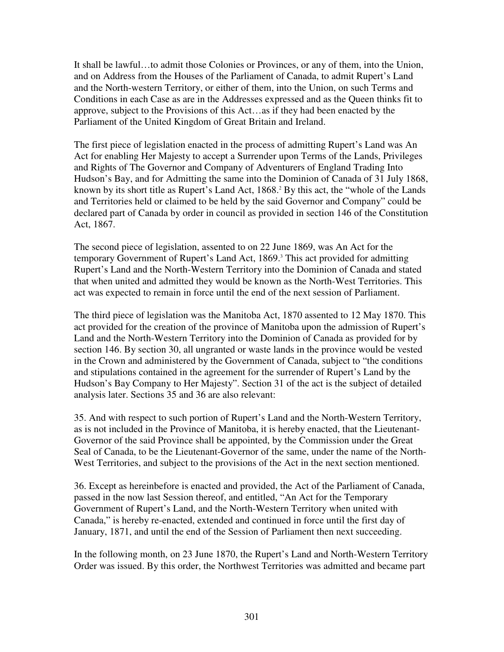It shall be lawful…to admit those Colonies or Provinces, or any of them, into the Union, and on Address from the Houses of the Parliament of Canada, to admit Rupert's Land and the North-western Territory, or either of them, into the Union, on such Terms and Conditions in each Case as are in the Addresses expressed and as the Queen thinks fit to approve, subject to the Provisions of this Act…as if they had been enacted by the Parliament of the United Kingdom of Great Britain and Ireland.

The first piece of legislation enacted in the process of admitting Rupert's Land was An Act for enabling Her Majesty to accept a Surrender upon Terms of the Lands, Privileges and Rights of The Governor and Company of Adventurers of England Trading Into Hudson's Bay, and for Admitting the same into the Dominion of Canada of 31 July 1868, known by its short title as Rupert's Land Act, 1868. <sup>2</sup> By this act, the "whole of the Lands and Territories held or claimed to be held by the said Governor and Company" could be declared part of Canada by order in council as provided in section 146 of the Constitution Act, 1867.

The second piece of legislation, assented to on 22 June 1869, was An Act for the temporary Government of Rupert's Land Act, 1869. <sup>3</sup> This act provided for admitting Rupert's Land and the North-Western Territory into the Dominion of Canada and stated that when united and admitted they would be known as the North-West Territories. This act was expected to remain in force until the end of the next session of Parliament.

The third piece of legislation was the Manitoba Act, 1870 assented to 12 May 1870. This act provided for the creation of the province of Manitoba upon the admission of Rupert's Land and the North-Western Territory into the Dominion of Canada as provided for by section 146. By section 30, all ungranted or waste lands in the province would be vested in the Crown and administered by the Government of Canada, subject to "the conditions and stipulations contained in the agreement for the surrender of Rupert's Land by the Hudson's Bay Company to Her Majesty". Section 31 of the act is the subject of detailed analysis later. Sections 35 and 36 are also relevant:

35. And with respect to such portion of Rupert's Land and the North-Western Territory, as is not included in the Province of Manitoba, it is hereby enacted, that the Lieutenant-Governor of the said Province shall be appointed, by the Commission under the Great Seal of Canada, to be the Lieutenant-Governor of the same, under the name of the North-West Territories, and subject to the provisions of the Act in the next section mentioned.

36. Except as hereinbefore is enacted and provided, the Act of the Parliament of Canada, passed in the now last Session thereof, and entitled, "An Act for the Temporary Government of Rupert's Land, and the North-Western Territory when united with Canada," is hereby re-enacted, extended and continued in force until the first day of January, 1871, and until the end of the Session of Parliament then next succeeding.

In the following month, on 23 June 1870, the Rupert's Land and North-Western Territory Order was issued. By this order, the Northwest Territories was admitted and became part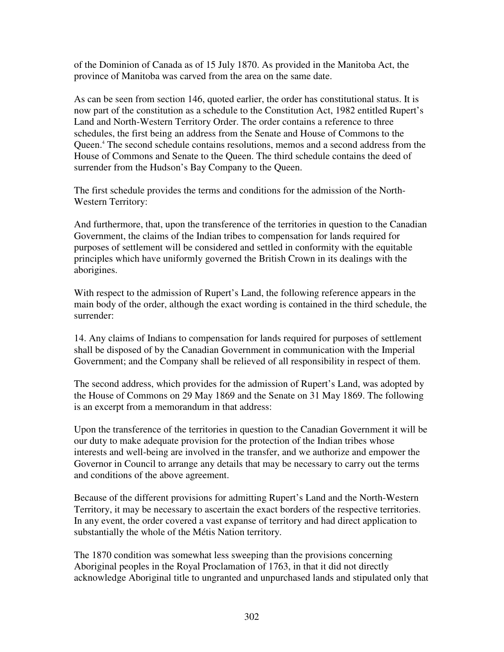of the Dominion of Canada as of 15 July 1870. As provided in the Manitoba Act, the province of Manitoba was carved from the area on the same date.

As can be seen from section 146, quoted earlier, the order has constitutional status. It is now part of the constitution as a schedule to the Constitution Act, 1982 entitled Rupert's Land and North-Western Territory Order. The order contains a reference to three schedules, the first being an address from the Senate and House of Commons to the Queen. <sup>4</sup> The second schedule contains resolutions, memos and a second address from the House of Commons and Senate to the Queen. The third schedule contains the deed of surrender from the Hudson's Bay Company to the Queen.

The first schedule provides the terms and conditions for the admission of the North-Western Territory:

And furthermore, that, upon the transference of the territories in question to the Canadian Government, the claims of the Indian tribes to compensation for lands required for purposes of settlement will be considered and settled in conformity with the equitable principles which have uniformly governed the British Crown in its dealings with the aborigines.

With respect to the admission of Rupert's Land, the following reference appears in the main body of the order, although the exact wording is contained in the third schedule, the surrender:

14. Any claims of Indians to compensation for lands required for purposes of settlement shall be disposed of by the Canadian Government in communication with the Imperial Government; and the Company shall be relieved of all responsibility in respect of them.

The second address, which provides for the admission of Rupert's Land, was adopted by the House of Commons on 29 May 1869 and the Senate on 31 May 1869. The following is an excerpt from a memorandum in that address:

Upon the transference of the territories in question to the Canadian Government it will be our duty to make adequate provision for the protection of the Indian tribes whose interests and well-being are involved in the transfer, and we authorize and empower the Governor in Council to arrange any details that may be necessary to carry out the terms and conditions of the above agreement.

Because of the different provisions for admitting Rupert's Land and the North-Western Territory, it may be necessary to ascertain the exact borders of the respective territories. In any event, the order covered a vast expanse of territory and had direct application to substantially the whole of the Métis Nation territory.

The 1870 condition was somewhat less sweeping than the provisions concerning Aboriginal peoples in the Royal Proclamation of 1763, in that it did not directly acknowledge Aboriginal title to ungranted and unpurchased lands and stipulated only that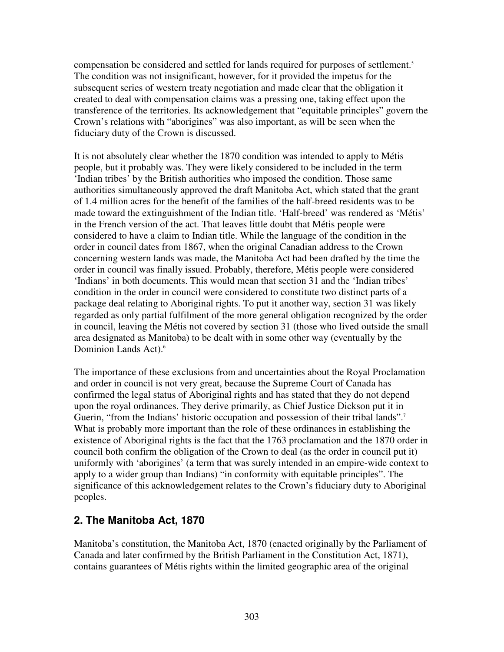compensation be considered and settled for lands required for purposes of settlement. 5 The condition was not insignificant, however, for it provided the impetus for the subsequent series of western treaty negotiation and made clear that the obligation it created to deal with compensation claims was a pressing one, taking effect upon the transference of the territories. Its acknowledgement that "equitable principles" govern the Crown's relations with "aborigines" was also important, as will be seen when the fiduciary duty of the Crown is discussed.

It is not absolutely clear whether the 1870 condition was intended to apply to Métis people, but it probably was. They were likely considered to be included in the term 'Indian tribes' by the British authorities who imposed the condition. Those same authorities simultaneously approved the draft Manitoba Act, which stated that the grant of 1.4 million acres for the benefit of the families of the half-breed residents was to be made toward the extinguishment of the Indian title. 'Half-breed' was rendered as 'Métis' in the French version of the act. That leaves little doubt that Métis people were considered to have a claim to Indian title. While the language of the condition in the order in council dates from 1867, when the original Canadian address to the Crown concerning western lands was made, the Manitoba Act had been drafted by the time the order in council was finally issued. Probably, therefore, Métis people were considered 'Indians' in both documents. This would mean that section 31 and the 'Indian tribes' condition in the order in council were considered to constitute two distinct parts of a package deal relating to Aboriginal rights. To put it another way, section 31 was likely regarded as only partial fulfilment of the more general obligation recognized by the order in council, leaving the Métis not covered by section 31 (those who lived outside the small area designated as Manitoba) to be dealt with in some other way (eventually by the Dominion Lands Act). 6

The importance of these exclusions from and uncertainties about the Royal Proclamation and order in council is not very great, because the Supreme Court of Canada has confirmed the legal status of Aboriginal rights and has stated that they do not depend upon the royal ordinances. They derive primarily, as Chief Justice Dickson put it in Guerin, "from the Indians' historic occupation and possession of their tribal lands".<sup>7</sup> What is probably more important than the role of these ordinances in establishing the existence of Aboriginal rights is the fact that the 1763 proclamation and the 1870 order in council both confirm the obligation of the Crown to deal (as the order in council put it) uniformly with 'aborigines' (a term that was surely intended in an empire-wide context to apply to a wider group than Indians) "in conformity with equitable principles". The significance of this acknowledgement relates to the Crown's fiduciary duty to Aboriginal peoples.

## **2. The Manitoba Act, 1870**

Manitoba's constitution, the Manitoba Act, 1870 (enacted originally by the Parliament of Canada and later confirmed by the British Parliament in the Constitution Act, 1871), contains guarantees of Métis rights within the limited geographic area of the original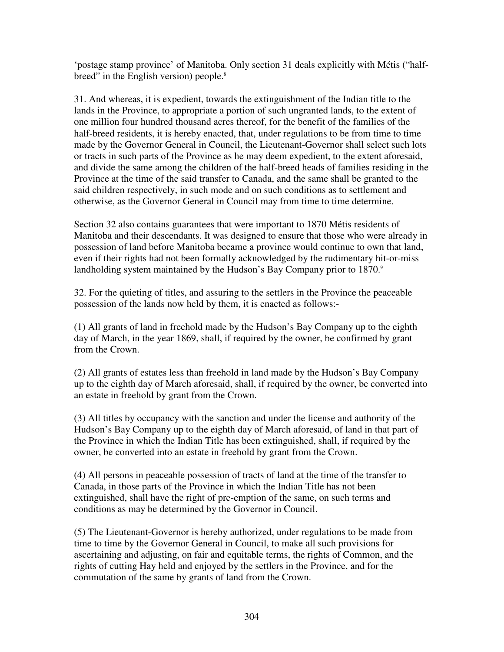'postage stamp province' of Manitoba. Only section 31 deals explicitly with Métis ("halfbreed" in the English version) people.<sup>8</sup>

31. And whereas, it is expedient, towards the extinguishment of the Indian title to the lands in the Province, to appropriate a portion of such ungranted lands, to the extent of one million four hundred thousand acres thereof, for the benefit of the families of the half-breed residents, it is hereby enacted, that, under regulations to be from time to time made by the Governor General in Council, the Lieutenant-Governor shall select such lots or tracts in such parts of the Province as he may deem expedient, to the extent aforesaid, and divide the same among the children of the half-breed heads of families residing in the Province at the time of the said transfer to Canada, and the same shall be granted to the said children respectively, in such mode and on such conditions as to settlement and otherwise, as the Governor General in Council may from time to time determine.

Section 32 also contains guarantees that were important to 1870 Métis residents of Manitoba and their descendants. It was designed to ensure that those who were already in possession of land before Manitoba became a province would continue to own that land, even if their rights had not been formally acknowledged by the rudimentary hit-or-miss landholding system maintained by the Hudson's Bay Company prior to 1870.<sup>9</sup>

32. For the quieting of titles, and assuring to the settlers in the Province the peaceable possession of the lands now held by them, it is enacted as follows:-

(1) All grants of land in freehold made by the Hudson's Bay Company up to the eighth day of March, in the year 1869, shall, if required by the owner, be confirmed by grant from the Crown.

(2) All grants of estates less than freehold in land made by the Hudson's Bay Company up to the eighth day of March aforesaid, shall, if required by the owner, be converted into an estate in freehold by grant from the Crown.

(3) All titles by occupancy with the sanction and under the license and authority of the Hudson's Bay Company up to the eighth day of March aforesaid, of land in that part of the Province in which the Indian Title has been extinguished, shall, if required by the owner, be converted into an estate in freehold by grant from the Crown.

(4) All persons in peaceable possession of tracts of land at the time of the transfer to Canada, in those parts of the Province in which the Indian Title has not been extinguished, shall have the right of pre-emption of the same, on such terms and conditions as may be determined by the Governor in Council.

(5) The Lieutenant-Governor is hereby authorized, under regulations to be made from time to time by the Governor General in Council, to make all such provisions for ascertaining and adjusting, on fair and equitable terms, the rights of Common, and the rights of cutting Hay held and enjoyed by the settlers in the Province, and for the commutation of the same by grants of land from the Crown.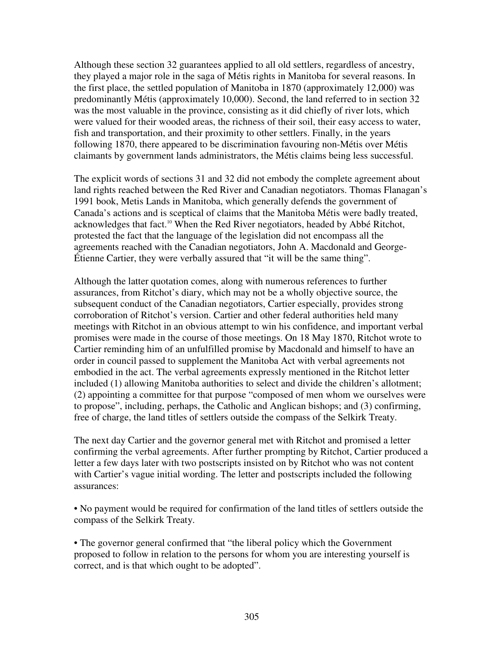Although these section 32 guarantees applied to all old settlers, regardless of ancestry, they played a major role in the saga of Métis rights in Manitoba for several reasons. In the first place, the settled population of Manitoba in 1870 (approximately 12,000) was predominantly Métis (approximately 10,000). Second, the land referred to in section 32 was the most valuable in the province, consisting as it did chiefly of river lots, which were valued for their wooded areas, the richness of their soil, their easy access to water, fish and transportation, and their proximity to other settlers. Finally, in the years following 1870, there appeared to be discrimination favouring non-Métis over Métis claimants by government lands administrators, the Métis claims being less successful.

The explicit words of sections 31 and 32 did not embody the complete agreement about land rights reached between the Red River and Canadian negotiators. Thomas Flanagan's 1991 book, Metis Lands in Manitoba, which generally defends the government of Canada's actions and is sceptical of claims that the Manitoba Métis were badly treated, acknowledges that fact. <sup>10</sup> When the Red River negotiators, headed by Abbé Ritchot, protested the fact that the language of the legislation did not encompass all the agreements reached with the Canadian negotiators, John A. Macdonald and George-Étienne Cartier, they were verbally assured that "it will be the same thing".

Although the latter quotation comes, along with numerous references to further assurances, from Ritchot's diary, which may not be a wholly objective source, the subsequent conduct of the Canadian negotiators, Cartier especially, provides strong corroboration of Ritchot's version. Cartier and other federal authorities held many meetings with Ritchot in an obvious attempt to win his confidence, and important verbal promises were made in the course of those meetings. On 18 May 1870, Ritchot wrote to Cartier reminding him of an unfulfilled promise by Macdonald and himself to have an order in council passed to supplement the Manitoba Act with verbal agreements not embodied in the act. The verbal agreements expressly mentioned in the Ritchot letter included (1) allowing Manitoba authorities to select and divide the children's allotment; (2) appointing a committee for that purpose "composed of men whom we ourselves were to propose", including, perhaps, the Catholic and Anglican bishops; and (3) confirming, free of charge, the land titles of settlers outside the compass of the Selkirk Treaty.

The next day Cartier and the governor general met with Ritchot and promised a letter confirming the verbal agreements. After further prompting by Ritchot, Cartier produced a letter a few days later with two postscripts insisted on by Ritchot who was not content with Cartier's vague initial wording. The letter and postscripts included the following assurances:

• No payment would be required for confirmation of the land titles of settlers outside the compass of the Selkirk Treaty.

• The governor general confirmed that "the liberal policy which the Government proposed to follow in relation to the persons for whom you are interesting yourself is correct, and is that which ought to be adopted".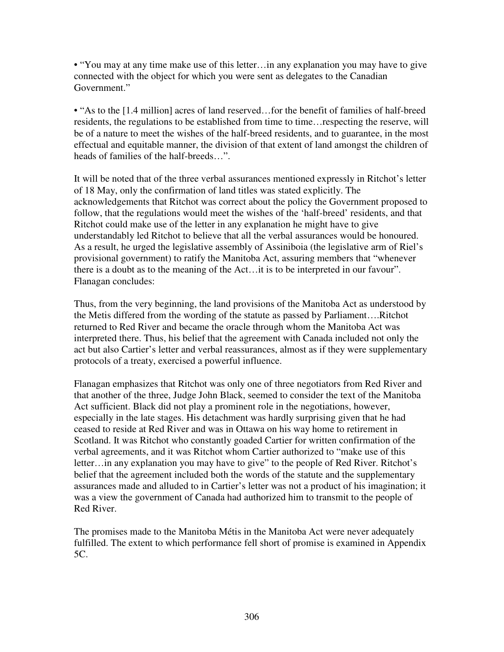• "You may at any time make use of this letter…in any explanation you may have to give connected with the object for which you were sent as delegates to the Canadian Government."

• "As to the [1.4 million] acres of land reserved...for the benefit of families of half-breed residents, the regulations to be established from time to time…respecting the reserve, will be of a nature to meet the wishes of the half-breed residents, and to guarantee, in the most effectual and equitable manner, the division of that extent of land amongst the children of heads of families of the half-breeds…".

It will be noted that of the three verbal assurances mentioned expressly in Ritchot's letter of 18 May, only the confirmation of land titles was stated explicitly. The acknowledgements that Ritchot was correct about the policy the Government proposed to follow, that the regulations would meet the wishes of the 'half-breed' residents, and that Ritchot could make use of the letter in any explanation he might have to give understandably led Ritchot to believe that all the verbal assurances would be honoured. As a result, he urged the legislative assembly of Assiniboia (the legislative arm of Riel's provisional government) to ratify the Manitoba Act, assuring members that "whenever there is a doubt as to the meaning of the Act…it is to be interpreted in our favour". Flanagan concludes:

Thus, from the very beginning, the land provisions of the Manitoba Act as understood by the Metis differed from the wording of the statute as passed by Parliament….Ritchot returned to Red River and became the oracle through whom the Manitoba Act was interpreted there. Thus, his belief that the agreement with Canada included not only the act but also Cartier's letter and verbal reassurances, almost as if they were supplementary protocols of a treaty, exercised a powerful influence.

Flanagan emphasizes that Ritchot was only one of three negotiators from Red River and that another of the three, Judge John Black, seemed to consider the text of the Manitoba Act sufficient. Black did not play a prominent role in the negotiations, however, especially in the late stages. His detachment was hardly surprising given that he had ceased to reside at Red River and was in Ottawa on his way home to retirement in Scotland. It was Ritchot who constantly goaded Cartier for written confirmation of the verbal agreements, and it was Ritchot whom Cartier authorized to "make use of this letter…in any explanation you may have to give" to the people of Red River. Ritchot's belief that the agreement included both the words of the statute and the supplementary assurances made and alluded to in Cartier's letter was not a product of his imagination; it was a view the government of Canada had authorized him to transmit to the people of Red River.

The promises made to the Manitoba Métis in the Manitoba Act were never adequately fulfilled. The extent to which performance fell short of promise is examined in Appendix 5C.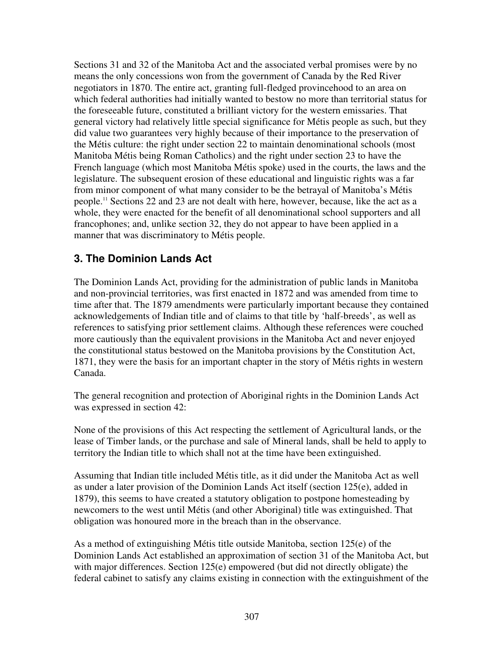Sections 31 and 32 of the Manitoba Act and the associated verbal promises were by no means the only concessions won from the government of Canada by the Red River negotiators in 1870. The entire act, granting full-fledged provincehood to an area on which federal authorities had initially wanted to bestow no more than territorial status for the foreseeable future, constituted a brilliant victory for the western emissaries. That general victory had relatively little special significance for Métis people as such, but they did value two guarantees very highly because of their importance to the preservation of the Métis culture: the right under section 22 to maintain denominational schools (most Manitoba Métis being Roman Catholics) and the right under section 23 to have the French language (which most Manitoba Métis spoke) used in the courts, the laws and the legislature. The subsequent erosion of these educational and linguistic rights was a far from minor component of what many consider to be the betrayal of Manitoba's Métis people. <sup>11</sup> Sections 22 and 23 are not dealt with here, however, because, like the act as a whole, they were enacted for the benefit of all denominational school supporters and all francophones; and, unlike section 32, they do not appear to have been applied in a manner that was discriminatory to Métis people.

### **3. The Dominion Lands Act**

The Dominion Lands Act, providing for the administration of public lands in Manitoba and non-provincial territories, was first enacted in 1872 and was amended from time to time after that. The 1879 amendments were particularly important because they contained acknowledgements of Indian title and of claims to that title by 'half-breeds', as well as references to satisfying prior settlement claims. Although these references were couched more cautiously than the equivalent provisions in the Manitoba Act and never enjoyed the constitutional status bestowed on the Manitoba provisions by the Constitution Act, 1871, they were the basis for an important chapter in the story of Métis rights in western Canada.

The general recognition and protection of Aboriginal rights in the Dominion Lands Act was expressed in section 42:

None of the provisions of this Act respecting the settlement of Agricultural lands, or the lease of Timber lands, or the purchase and sale of Mineral lands, shall be held to apply to territory the Indian title to which shall not at the time have been extinguished.

Assuming that Indian title included Métis title, as it did under the Manitoba Act as well as under a later provision of the Dominion Lands Act itself (section 125(e), added in 1879), this seems to have created a statutory obligation to postpone homesteading by newcomers to the west until Métis (and other Aboriginal) title was extinguished. That obligation was honoured more in the breach than in the observance.

As a method of extinguishing Métis title outside Manitoba, section 125(e) of the Dominion Lands Act established an approximation of section 31 of the Manitoba Act, but with major differences. Section 125(e) empowered (but did not directly obligate) the federal cabinet to satisfy any claims existing in connection with the extinguishment of the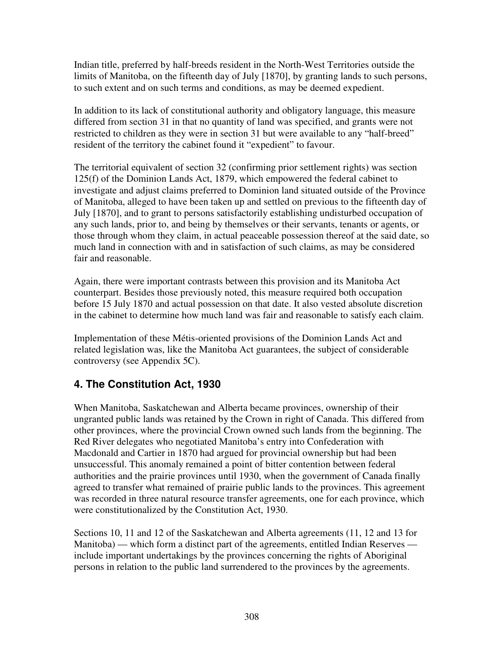Indian title, preferred by half-breeds resident in the North-West Territories outside the limits of Manitoba, on the fifteenth day of July [1870], by granting lands to such persons, to such extent and on such terms and conditions, as may be deemed expedient.

In addition to its lack of constitutional authority and obligatory language, this measure differed from section 31 in that no quantity of land was specified, and grants were not restricted to children as they were in section 31 but were available to any "half-breed" resident of the territory the cabinet found it "expedient" to favour.

The territorial equivalent of section 32 (confirming prior settlement rights) was section 125(f) of the Dominion Lands Act, 1879, which empowered the federal cabinet to investigate and adjust claims preferred to Dominion land situated outside of the Province of Manitoba, alleged to have been taken up and settled on previous to the fifteenth day of July [1870], and to grant to persons satisfactorily establishing undisturbed occupation of any such lands, prior to, and being by themselves or their servants, tenants or agents, or those through whom they claim, in actual peaceable possession thereof at the said date, so much land in connection with and in satisfaction of such claims, as may be considered fair and reasonable.

Again, there were important contrasts between this provision and its Manitoba Act counterpart. Besides those previously noted, this measure required both occupation before 15 July 1870 and actual possession on that date. It also vested absolute discretion in the cabinet to determine how much land was fair and reasonable to satisfy each claim.

Implementation of these Métis-oriented provisions of the Dominion Lands Act and related legislation was, like the Manitoba Act guarantees, the subject of considerable controversy (see Appendix 5C).

# **4. The Constitution Act, 1930**

When Manitoba, Saskatchewan and Alberta became provinces, ownership of their ungranted public lands was retained by the Crown in right of Canada. This differed from other provinces, where the provincial Crown owned such lands from the beginning. The Red River delegates who negotiated Manitoba's entry into Confederation with Macdonald and Cartier in 1870 had argued for provincial ownership but had been unsuccessful. This anomaly remained a point of bitter contention between federal authorities and the prairie provinces until 1930, when the government of Canada finally agreed to transfer what remained of prairie public lands to the provinces. This agreement was recorded in three natural resource transfer agreements, one for each province, which were constitutionalized by the Constitution Act, 1930.

Sections 10, 11 and 12 of the Saskatchewan and Alberta agreements (11, 12 and 13 for Manitoba) — which form a distinct part of the agreements, entitled Indian Reserves include important undertakings by the provinces concerning the rights of Aboriginal persons in relation to the public land surrendered to the provinces by the agreements.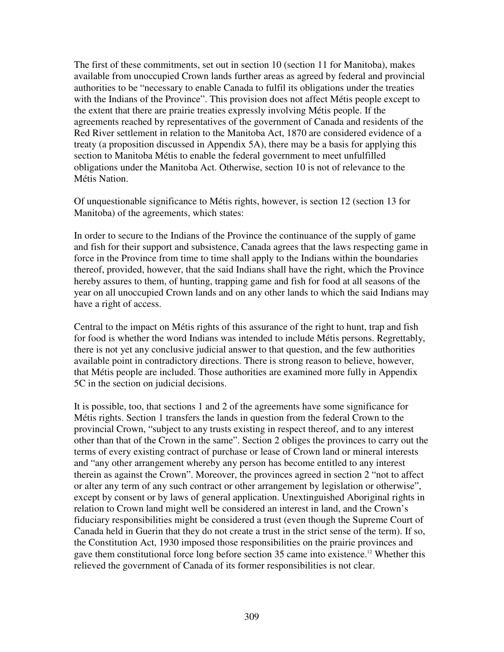The first of these commitments, set out in section 10 (section 11 for Manitoba), makes available from unoccupied Crown lands further areas as agreed by federal and provincial authorities to be "necessary to enable Canada to fulfil its obligations under the treaties with the Indians of the Province". This provision does not affect Métis people except to the extent that there are prairie treaties expressly involving Métis people. If the agreements reached by representatives of the government of Canada and residents of the Red River settlement in relation to the Manitoba Act, 1870 are considered evidence of a treaty (a proposition discussed in Appendix 5A), there may be a basis for applying this section to Manitoba Métis to enable the federal government to meet unfulfilled obligations under the Manitoba Act. Otherwise, section 10 is not of relevance to the Métis Nation.

Of unquestionable significance to Métis rights, however, is section 12 (section 13 for Manitoba) of the agreements, which states:

In order to secure to the Indians of the Province the continuance of the supply of game and fish for their support and subsistence, Canada agrees that the laws respecting game in force in the Province from time to time shall apply to the Indians within the boundaries thereof, provided, however, that the said Indians shall have the right, which the Province hereby assures to them, of hunting, trapping game and fish for food at all seasons of the year on all unoccupied Crown lands and on any other lands to which the said Indians may have a right of access.

Central to the impact on Métis rights of this assurance of the right to hunt, trap and fish for food is whether the word Indians was intended to include Métis persons. Regrettably, there is not yet any conclusive judicial answer to that question, and the few authorities available point in contradictory directions. There is strong reason to believe, however, that Métis people are included. Those authorities are examined more fully in Appendix 5C in the section on judicial decisions.

It is possible, too, that sections 1 and 2 of the agreements have some significance for Métis rights. Section 1 transfers the lands in question from the federal Crown to the provincial Crown, "subject to any trusts existing in respect thereof, and to any interest other than that of the Crown in the same". Section 2 obliges the provinces to carry out the terms of every existing contract of purchase or lease of Crown land or mineral interests and "any other arrangement whereby any person has become entitled to any interest therein as against the Crown". Moreover, the provinces agreed in section 2 "not to affect or alter any term of any such contract or other arrangement by legislation or otherwise", except by consent or by laws of general application. Unextinguished Aboriginal rights in relation to Crown land might well be considered an interest in land, and the Crown's fiduciary responsibilities might be considered a trust (even though the Supreme Court of Canada held in Guerin that they do not create a trust in the strict sense of the term). If so, the Constitution Act, 1930 imposed those responsibilities on the prairie provinces and gave them constitutional force long before section 35 came into existence. <sup>12</sup> Whether this relieved the government of Canada of its former responsibilities is not clear.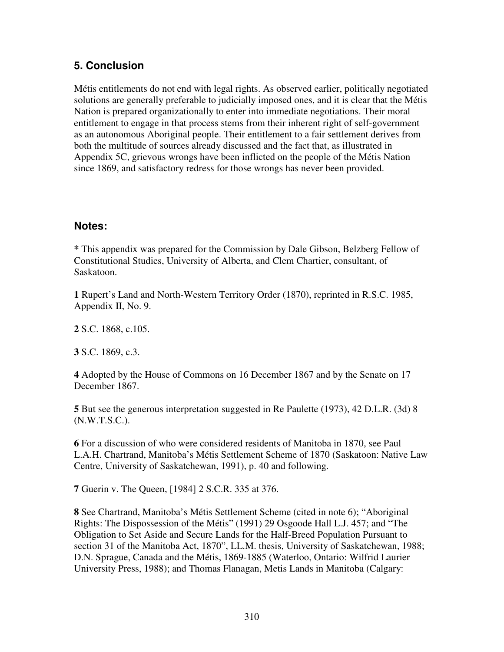#### **5. Conclusion**

Métis entitlements do not end with legal rights. As observed earlier, politically negotiated solutions are generally preferable to judicially imposed ones, and it is clear that the Métis Nation is prepared organizationally to enter into immediate negotiations. Their moral entitlement to engage in that process stems from their inherent right of self-government as an autonomous Aboriginal people. Their entitlement to a fair settlement derives from both the multitude of sources already discussed and the fact that, as illustrated in Appendix 5C, grievous wrongs have been inflicted on the people of the Métis Nation since 1869, and satisfactory redress for those wrongs has never been provided.

#### **Notes:**

**\*** This appendix was prepared for the Commission by Dale Gibson, Belzberg Fellow of Constitutional Studies, University of Alberta, and Clem Chartier, consultant, of Saskatoon.

**1** Rupert's Land and North-Western Territory Order (1870), reprinted in R.S.C. 1985, Appendix II, No. 9.

**2** S.C. 1868, c.105.

**3** S.C. 1869, c.3.

**4** Adopted by the House of Commons on 16 December 1867 and by the Senate on 17 December 1867.

**5** But see the generous interpretation suggested in Re Paulette (1973), 42 D.L.R. (3d) 8 (N.W.T.S.C.).

**6** For a discussion of who were considered residents of Manitoba in 1870, see Paul L.A.H. Chartrand, Manitoba's Métis Settlement Scheme of 1870 (Saskatoon: Native Law Centre, University of Saskatchewan, 1991), p. 40 and following.

**7** Guerin v. The Queen, [1984] 2 S.C.R. 335 at 376.

**8** See Chartrand, Manitoba's Métis Settlement Scheme (cited in note 6); "Aboriginal Rights: The Dispossession of the Métis" (1991) 29 Osgoode Hall L.J. 457; and "The Obligation to Set Aside and Secure Lands for the Half-Breed Population Pursuant to section 31 of the Manitoba Act, 1870", LL.M. thesis, University of Saskatchewan, 1988; D.N. Sprague, Canada and the Métis, 1869-1885 (Waterloo, Ontario: Wilfrid Laurier University Press, 1988); and Thomas Flanagan, Metis Lands in Manitoba (Calgary: